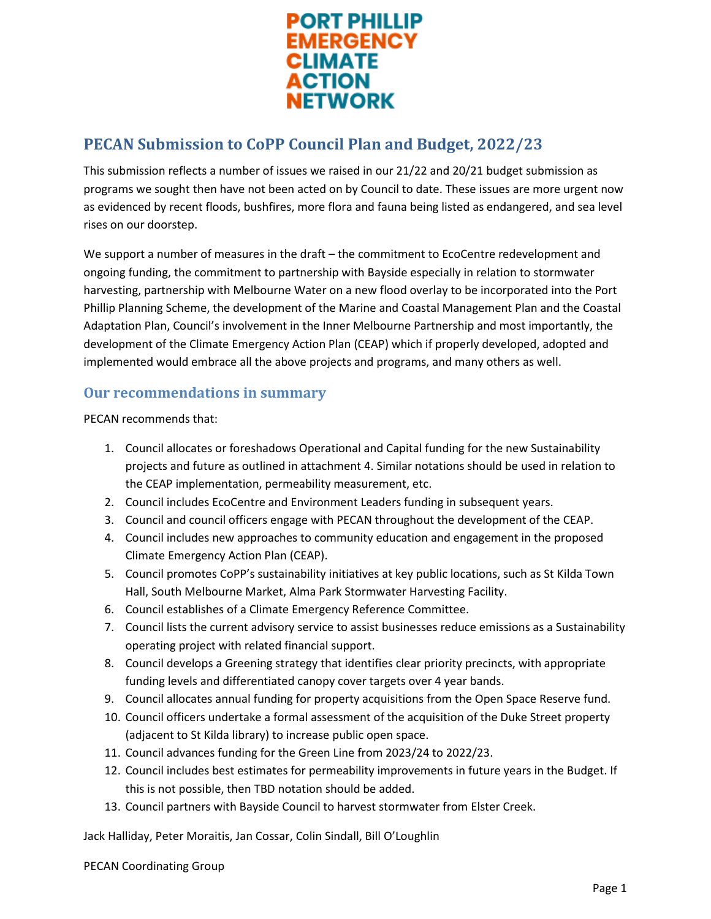

This submission reflects a number of issues we raised in our 21/22 and 20/21 budget submission as programs we sought then have not been acted on by Council to date. These issues are more urgent now as evidenced by recent floods, bushfires, more flora and fauna being listed as endangered, and sea level rises on our doorstep.

We support a number of measures in the draft – the commitment to EcoCentre redevelopment and ongoing funding, the commitment to partnership with Bayside especially in relation to stormwater harvesting, partnership with Melbourne Water on a new flood overlay to be incorporated into the Port Phillip Planning Scheme, the development of the Marine and Coastal Management Plan and the Coastal Adaptation Plan, Council's involvement in the Inner Melbourne Partnership and most importantly, the development of the Climate Emergency Action Plan (CEAP) which if properly developed, adopted and implemented would embrace all the above projects and programs, and many others as well.

#### **Our recommendations in summary**

PECAN recommends that:

- 1. Council allocates or foreshadows Operational and Capital funding for the new Sustainability projects and future as outlined in attachment 4. Similar notations should be used in relation to the CEAP implementation, permeability measurement, etc.
- 2. Council includes EcoCentre and Environment Leaders funding in subsequent years.
- 3. Council and council officers engage with PECAN throughout the development of the CEAP.
- 4. Council includes new approaches to community education and engagement in the proposed Climate Emergency Action Plan (CEAP).
- 5. Council promotes CoPP's sustainability initiatives at key public locations, such as St Kilda Town Hall, South Melbourne Market, Alma Park Stormwater Harvesting Facility.
- 6. Council establishes of a Climate Emergency Reference Committee.
- 7. Council lists the current advisory service to assist businesses reduce emissions as a Sustainability operating project with related financial support.
- 8. Council develops a Greening strategy that identifies clear priority precincts, with appropriate funding levels and differentiated canopy cover targets over 4 year bands.
- 9. Council allocates annual funding for property acquisitions from the Open Space Reserve fund.
- 10. Council officers undertake a formal assessment of the acquisition of the Duke Street property (adjacent to St Kilda library) to increase public open space.
- 11. Council advances funding for the Green Line from 2023/24 to 2022/23.
- 12. Council includes best estimates for permeability improvements in future years in the Budget. If this is not possible, then TBD notation should be added.
- 13. Council partners with Bayside Council to harvest stormwater from Elster Creek.

Jack Halliday, Peter Moraitis, Jan Cossar, Colin Sindall, Bill O'Loughlin

PECAN Coordinating Group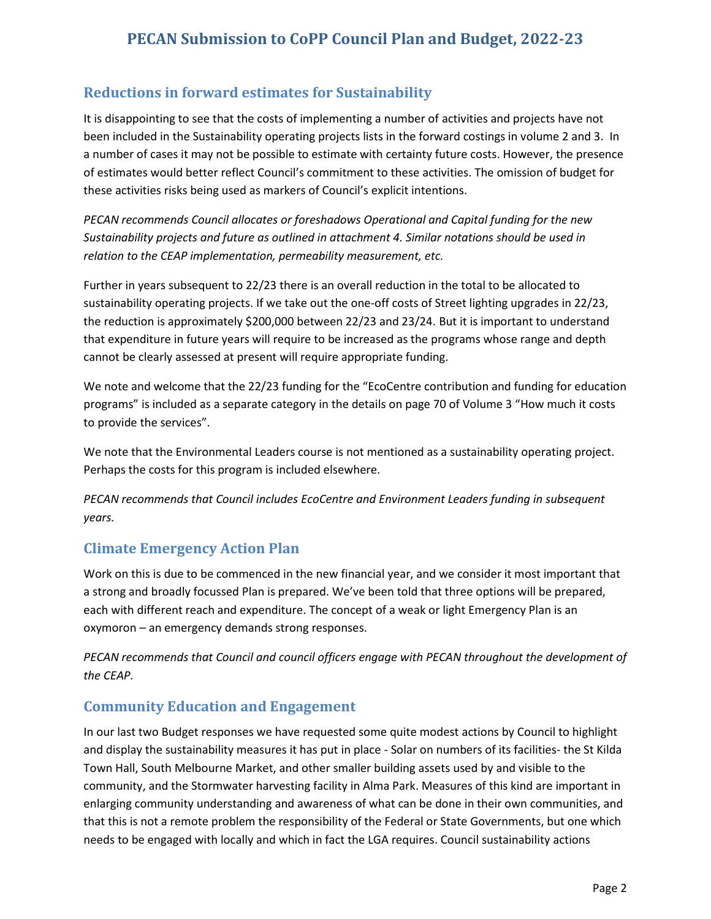## **Reductions in forward estimates for Sustainability**

It is disappointing to see that the costs of implementing a number of activities and projects have not been included in the Sustainability operating projects lists in the forward costings in volume 2 and 3. In a number of cases it may not be possible to estimate with certainty future costs. However, the presence of estimates would better reflect Council's commitment to these activities. The omission of budget for these activities risks being used as markers of Council's explicit intentions.

*PECAN recommends Council allocates or foreshadows Operational and Capital funding for the new Sustainability projects and future as outlined in attachment 4. Similar notations should be used in relation to the CEAP implementation, permeability measurement, etc.*

Further in years subsequent to 22/23 there is an overall reduction in the total to be allocated to sustainability operating projects. If we take out the one-off costs of Street lighting upgrades in 22/23, the reduction is approximately \$200,000 between 22/23 and 23/24. But it is important to understand that expenditure in future years will require to be increased as the programs whose range and depth cannot be clearly assessed at present will require appropriate funding.

We note and welcome that the 22/23 funding for the "EcoCentre contribution and funding for education programs" is included as a separate category in the details on page 70 of Volume 3 "How much it costs to provide the services".

We note that the Environmental Leaders course is not mentioned as a sustainability operating project. Perhaps the costs for this program is included elsewhere.

*PECAN recommends that Council includes EcoCentre and Environment Leaders funding in subsequent years.*

## **Climate Emergency Action Plan**

Work on this is due to be commenced in the new financial year, and we consider it most important that a strong and broadly focussed Plan is prepared. We've been told that three options will be prepared, each with different reach and expenditure. The concept of a weak or light Emergency Plan is an oxymoron – an emergency demands strong responses.

*PECAN recommends that Council and council officers engage with PECAN throughout the development of the CEAP.*

### **Community Education and Engagement**

In our last two Budget responses we have requested some quite modest actions by Council to highlight and display the sustainability measures it has put in place - Solar on numbers of its facilities- the St Kilda Town Hall, South Melbourne Market, and other smaller building assets used by and visible to the community, and the Stormwater harvesting facility in Alma Park. Measures of this kind are important in enlarging community understanding and awareness of what can be done in their own communities, and that this is not a remote problem the responsibility of the Federal or State Governments, but one which needs to be engaged with locally and which in fact the LGA requires. Council sustainability actions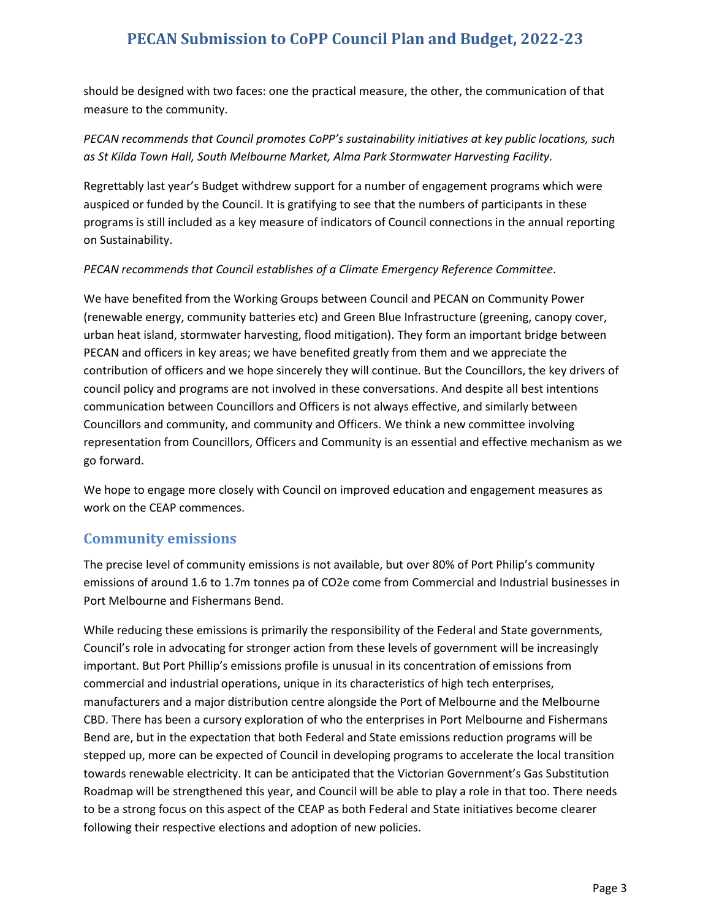should be designed with two faces: one the practical measure, the other, the communication of that measure to the community.

*PECAN recommends that Council promotes CoPP's sustainability initiatives at key public locations, such as St Kilda Town Hall, South Melbourne Market, Alma Park Stormwater Harvesting Facility.*

Regrettably last year's Budget withdrew support for a number of engagement programs which were auspiced or funded by the Council. It is gratifying to see that the numbers of participants in these programs is still included as a key measure of indicators of Council connections in the annual reporting on Sustainability.

#### *PECAN recommends that Council establishes of a Climate Emergency Reference Committee*.

We have benefited from the Working Groups between Council and PECAN on Community Power (renewable energy, community batteries etc) and Green Blue Infrastructure (greening, canopy cover, urban heat island, stormwater harvesting, flood mitigation). They form an important bridge between PECAN and officers in key areas; we have benefited greatly from them and we appreciate the contribution of officers and we hope sincerely they will continue. But the Councillors, the key drivers of council policy and programs are not involved in these conversations. And despite all best intentions communication between Councillors and Officers is not always effective, and similarly between Councillors and community, and community and Officers. We think a new committee involving representation from Councillors, Officers and Community is an essential and effective mechanism as we go forward.

We hope to engage more closely with Council on improved education and engagement measures as work on the CEAP commences.

#### **Community emissions**

The precise level of community emissions is not available, but over 80% of Port Philip's community emissions of around 1.6 to 1.7m tonnes pa of CO2e come from Commercial and Industrial businesses in Port Melbourne and Fishermans Bend.

While reducing these emissions is primarily the responsibility of the Federal and State governments, Council's role in advocating for stronger action from these levels of government will be increasingly important. But Port Phillip's emissions profile is unusual in its concentration of emissions from commercial and industrial operations, unique in its characteristics of high tech enterprises, manufacturers and a major distribution centre alongside the Port of Melbourne and the Melbourne CBD. There has been a cursory exploration of who the enterprises in Port Melbourne and Fishermans Bend are, but in the expectation that both Federal and State emissions reduction programs will be stepped up, more can be expected of Council in developing programs to accelerate the local transition towards renewable electricity. It can be anticipated that the Victorian Government's Gas Substitution Roadmap will be strengthened this year, and Council will be able to play a role in that too. There needs to be a strong focus on this aspect of the CEAP as both Federal and State initiatives become clearer following their respective elections and adoption of new policies.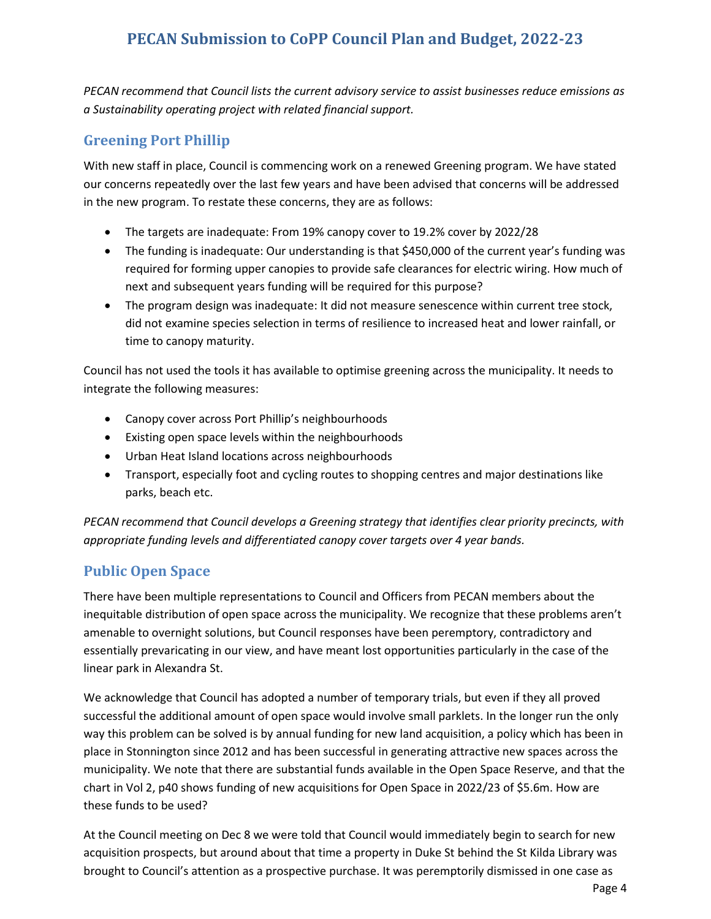*PECAN recommend that Council lists the current advisory service to assist businesses reduce emissions as a Sustainability operating project with related financial support.*

### **Greening Port Phillip**

With new staff in place, Council is commencing work on a renewed Greening program. We have stated our concerns repeatedly over the last few years and have been advised that concerns will be addressed in the new program. To restate these concerns, they are as follows:

- The targets are inadequate: From 19% canopy cover to 19.2% cover by 2022/28
- The funding is inadequate: Our understanding is that \$450,000 of the current year's funding was required for forming upper canopies to provide safe clearances for electric wiring. How much of next and subsequent years funding will be required for this purpose?
- The program design was inadequate: It did not measure senescence within current tree stock, did not examine species selection in terms of resilience to increased heat and lower rainfall, or time to canopy maturity.

Council has not used the tools it has available to optimise greening across the municipality. It needs to integrate the following measures:

- Canopy cover across Port Phillip's neighbourhoods
- Existing open space levels within the neighbourhoods
- Urban Heat Island locations across neighbourhoods
- Transport, especially foot and cycling routes to shopping centres and major destinations like parks, beach etc.

*PECAN recommend that Council develops a Greening strategy that identifies clear priority precincts, with appropriate funding levels and differentiated canopy cover targets over 4 year bands.*

## **Public Open Space**

There have been multiple representations to Council and Officers from PECAN members about the inequitable distribution of open space across the municipality. We recognize that these problems aren't amenable to overnight solutions, but Council responses have been peremptory, contradictory and essentially prevaricating in our view, and have meant lost opportunities particularly in the case of the linear park in Alexandra St.

We acknowledge that Council has adopted a number of temporary trials, but even if they all proved successful the additional amount of open space would involve small parklets. In the longer run the only way this problem can be solved is by annual funding for new land acquisition, a policy which has been in place in Stonnington since 2012 and has been successful in generating attractive new spaces across the municipality. We note that there are substantial funds available in the Open Space Reserve, and that the chart in Vol 2, p40 shows funding of new acquisitions for Open Space in 2022/23 of \$5.6m. How are these funds to be used?

At the Council meeting on Dec 8 we were told that Council would immediately begin to search for new acquisition prospects, but around about that time a property in Duke St behind the St Kilda Library was brought to Council's attention as a prospective purchase. It was peremptorily dismissed in one case as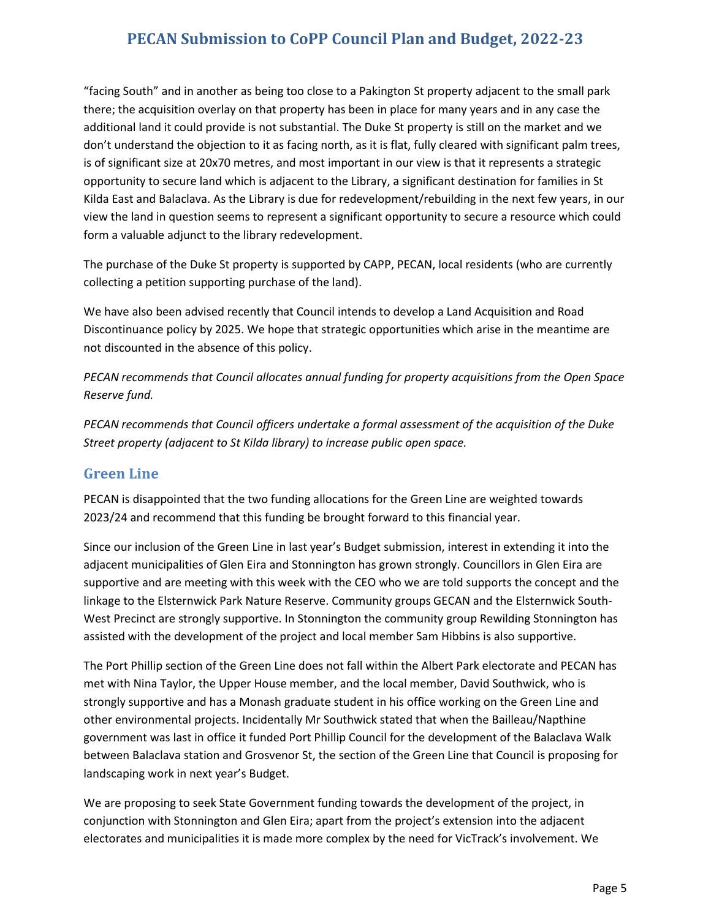"facing South" and in another as being too close to a Pakington St property adjacent to the small park there; the acquisition overlay on that property has been in place for many years and in any case the additional land it could provide is not substantial. The Duke St property is still on the market and we don't understand the objection to it as facing north, as it is flat, fully cleared with significant palm trees, is of significant size at 20x70 metres, and most important in our view is that it represents a strategic opportunity to secure land which is adjacent to the Library, a significant destination for families in St Kilda East and Balaclava. As the Library is due for redevelopment/rebuilding in the next few years, in our view the land in question seems to represent a significant opportunity to secure a resource which could form a valuable adjunct to the library redevelopment.

The purchase of the Duke St property is supported by CAPP, PECAN, local residents (who are currently collecting a petition supporting purchase of the land).

We have also been advised recently that Council intends to develop a Land Acquisition and Road Discontinuance policy by 2025. We hope that strategic opportunities which arise in the meantime are not discounted in the absence of this policy.

*PECAN recommends that Council allocates annual funding for property acquisitions from the Open Space Reserve fund.*

*PECAN recommends that Council officers undertake a formal assessment of the acquisition of the Duke Street property (adjacent to St Kilda library) to increase public open space.*

#### **Green Line**

PECAN is disappointed that the two funding allocations for the Green Line are weighted towards 2023/24 and recommend that this funding be brought forward to this financial year.

Since our inclusion of the Green Line in last year's Budget submission, interest in extending it into the adjacent municipalities of Glen Eira and Stonnington has grown strongly. Councillors in Glen Eira are supportive and are meeting with this week with the CEO who we are told supports the concept and the linkage to the Elsternwick Park Nature Reserve. Community groups GECAN and the Elsternwick South-West Precinct are strongly supportive. In Stonnington the community group Rewilding Stonnington has assisted with the development of the project and local member Sam Hibbins is also supportive.

The Port Phillip section of the Green Line does not fall within the Albert Park electorate and PECAN has met with Nina Taylor, the Upper House member, and the local member, David Southwick, who is strongly supportive and has a Monash graduate student in his office working on the Green Line and other environmental projects. Incidentally Mr Southwick stated that when the Bailleau/Napthine government was last in office it funded Port Phillip Council for the development of the Balaclava Walk between Balaclava station and Grosvenor St, the section of the Green Line that Council is proposing for landscaping work in next year's Budget.

We are proposing to seek State Government funding towards the development of the project, in conjunction with Stonnington and Glen Eira; apart from the project's extension into the adjacent electorates and municipalities it is made more complex by the need for VicTrack's involvement. We